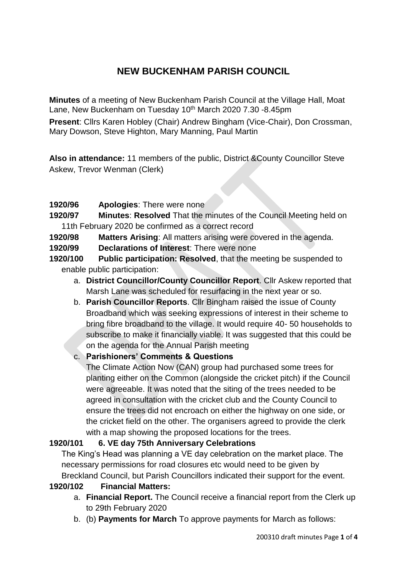# **NEW BUCKENHAM PARISH COUNCIL**

**Minutes** of a meeting of New Buckenham Parish Council at the Village Hall, Moat Lane, New Buckenham on Tuesday 10<sup>th</sup> March 2020 7.30 -8.45pm

**Present**: Cllrs Karen Hobley (Chair) Andrew Bingham (Vice-Chair), Don Crossman, Mary Dowson, Steve Highton, Mary Manning, Paul Martin

**Also in attendance:** 11 members of the public, District &County Councillor Steve Askew, Trevor Wenman (Clerk)

- **1920/96 Apologies**: There were none
- **1920/97 Minutes**: **Resolved** That the minutes of the Council Meeting held on 11th February 2020 be confirmed as a correct record
- **1920/98 Matters Arising**: All matters arising were covered in the agenda.
- **1920/99 Declarations of Interest**: There were none
- **1920/100 Public participation: Resolved**, that the meeting be suspended to enable public participation:
	- a. **District Councillor/County Councillor Report**. Cllr Askew reported that Marsh Lane was scheduled for resurfacing in the next year or so.
	- b. **Parish Councillor Reports**. Cllr Bingham raised the issue of County Broadband which was seeking expressions of interest in their scheme to bring fibre broadband to the village. It would require 40- 50 households to subscribe to make it financially viable. It was suggested that this could be on the agenda for the Annual Parish meeting

## c. **Parishioners' Comments & Questions**

The Climate Action Now (CAN) group had purchased some trees for planting either on the Common (alongside the cricket pitch) if the Council were agreeable. It was noted that the siting of the trees needed to be agreed in consultation with the cricket club and the County Council to ensure the trees did not encroach on either the highway on one side, or the cricket field on the other. The organisers agreed to provide the clerk with a map showing the proposed locations for the trees.

### **1920/101 6. VE day 75th Anniversary Celebrations**

The King's Head was planning a VE day celebration on the market place. The necessary permissions for road closures etc would need to be given by Breckland Council, but Parish Councillors indicated their support for the event.

### **1920/102 Financial Matters:**

- a. **Financial Report.** The Council receive a financial report from the Clerk up to 29th February 2020
- b. (b) **Payments for March** To approve payments for March as follows: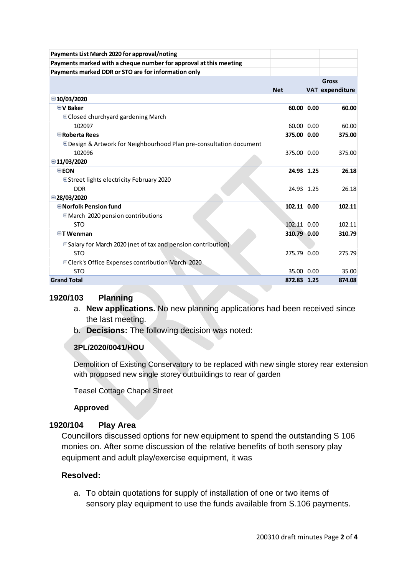| Payments List March 2020 for approval/noting                        |             |                 |
|---------------------------------------------------------------------|-------------|-----------------|
| Payments marked with a cheque number for approval at this meeting   |             |                 |
| Payments marked DDR or STO are for information only                 |             |                 |
|                                                                     |             | <b>Gross</b>    |
|                                                                     | <b>Net</b>  | VAT expenditure |
| ■10/03/2020                                                         |             |                 |
| <b>■V Baker</b>                                                     | 60.00 0.00  | 60.00           |
| $\Box$ Closed churchyard gardening March                            |             |                 |
| 102097                                                              | 60.00 0.00  | 60.00           |
| Roberta Rees                                                        | 375.00 0.00 | 375.00          |
| □ Design & Artwork for Neighbourhood Plan pre-consultation document |             |                 |
| 102096                                                              | 375.00 0.00 | 375.00          |
| ■11/03/2020                                                         |             |                 |
| $\Box$ EON                                                          | 24.93 1.25  | 26.18           |
| ■Street lights electricity February 2020                            |             |                 |
| <b>DDR</b>                                                          | 24.93 1.25  | 26.18           |
| ■28/03/2020                                                         |             |                 |
| <b>■</b> Norfolk Pension fund                                       | 102.11 0.00 | 102.11          |
| March 2020 pension contributions                                    |             |                 |
| <b>STO</b>                                                          | 102.11 0.00 | 102.11          |
| $\Box$ T Wenman                                                     | 310.79 0.00 | 310.79          |
| □ Salary for March 2020 (net of tax and pension contribution)       |             |                 |
| <b>STO</b>                                                          | 275.79 0.00 | 275.79          |
| □ Clerk's Office Expenses contribution March 2020                   |             |                 |
| <b>STO</b>                                                          | 35.00 0.00  | 35.00           |
| <b>Grand Total</b>                                                  | 872.83 1.25 | 874.08          |

### **1920/103 Planning**

- a. **New applications.** No new planning applications had been received since the last meeting.
- b. **Decisions:** The following decision was noted:

## **3PL/2020/0041/HOU**

Demolition of Existing Conservatory to be replaced with new single storey rear extension with proposed new single storey outbuildings to rear of garden

Teasel Cottage Chapel Street

**Approved**

## **1920/104 Play Area**

Councillors discussed options for new equipment to spend the outstanding S 106 monies on. After some discussion of the relative benefits of both sensory play equipment and adult play/exercise equipment, it was

### **Resolved:**

a. To obtain quotations for supply of installation of one or two items of sensory play equipment to use the funds available from S.106 payments.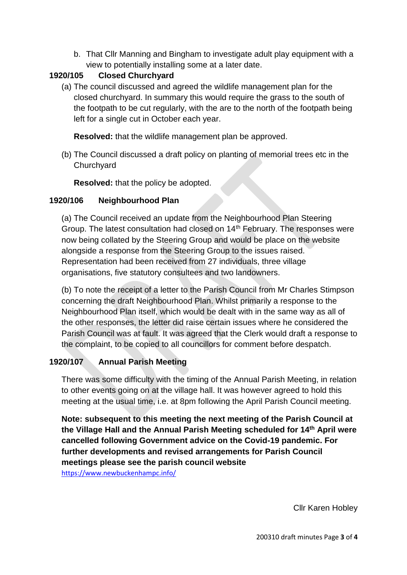b. That Cllr Manning and Bingham to investigate adult play equipment with a view to potentially installing some at a later date.

# **1920/105 Closed Churchyard**

(a) The council discussed and agreed the wildlife management plan for the closed churchyard. In summary this would require the grass to the south of the footpath to be cut regularly, with the are to the north of the footpath being left for a single cut in October each year.

**Resolved:** that the wildlife management plan be approved.

(b) The Council discussed a draft policy on planting of memorial trees etc in the **Churchyard** 

**Resolved:** that the policy be adopted.

## **1920/106 Neighbourhood Plan**

(a) The Council received an update from the Neighbourhood Plan Steering Group. The latest consultation had closed on 14<sup>th</sup> February. The responses were now being collated by the Steering Group and would be place on the website alongside a response from the Steering Group to the issues raised. Representation had been received from 27 individuals, three village organisations, five statutory consultees and two landowners.

(b) To note the receipt of a letter to the Parish Council from Mr Charles Stimpson concerning the draft Neighbourhood Plan. Whilst primarily a response to the Neighbourhood Plan itself, which would be dealt with in the same way as all of the other responses, the letter did raise certain issues where he considered the Parish Council was at fault. It was agreed that the Clerk would draft a response to the complaint, to be copied to all councillors for comment before despatch.

# **1920/107 Annual Parish Meeting**

There was some difficulty with the timing of the Annual Parish Meeting, in relation to other events going on at the village hall. It was however agreed to hold this meeting at the usual time, i.e. at 8pm following the April Parish Council meeting.

**Note: subsequent to this meeting the next meeting of the Parish Council at the Village Hall and the Annual Parish Meeting scheduled for 14th April were cancelled following Government advice on the Covid-19 pandemic. For further developments and revised arrangements for Parish Council meetings please see the parish council website** 

<https://www.newbuckenhampc.info/>

Cllr Karen Hobley